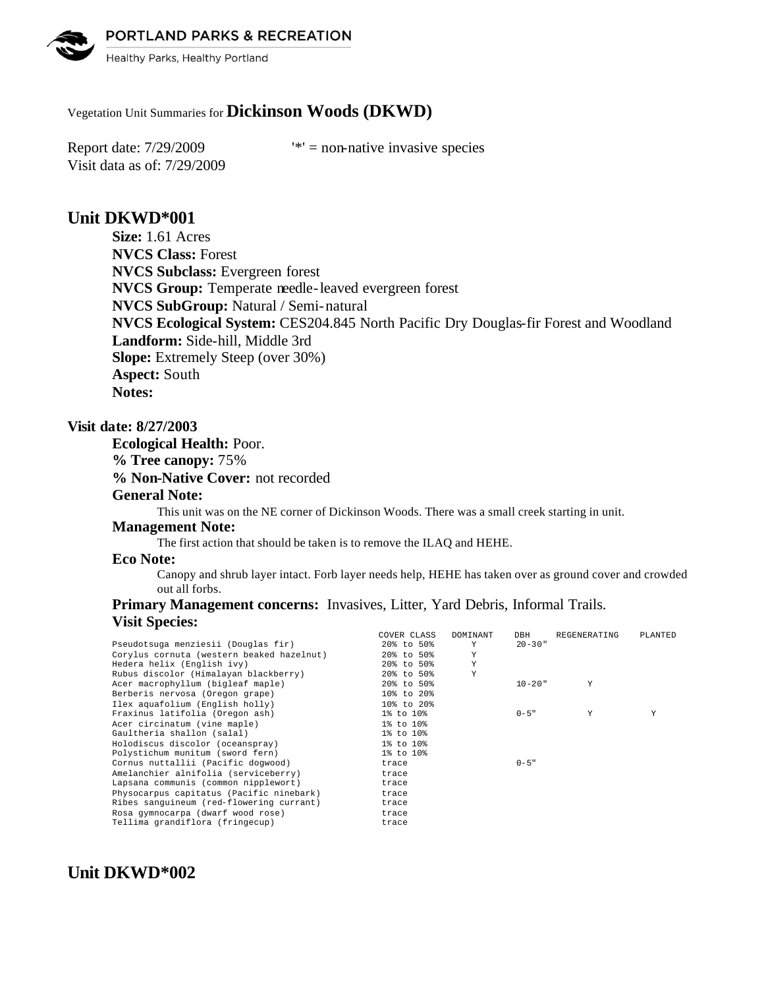PORTLAND PARKS & RECREATION



Healthy Parks, Healthy Portland

# Vegetation Unit Summaries for **Dickinson Woods (DKWD)**

Visit data as of: 7/29/2009

Report date:  $7/29/2009$  '\*' = non-native invasive species

# **Unit DKWD\*001**

**Size:** 1.61 Acres **NVCS Class:** Forest **NVCS Subclass:** Evergreen forest **NVCS Group:** Temperate needle-leaved evergreen forest **NVCS SubGroup:** Natural / Semi-natural **NVCS Ecological System:** CES204.845 North Pacific Dry Douglas-fir Forest and Woodland **Landform:** Side-hill, Middle 3rd **Slope:** Extremely Steep (over 30%) **Aspect:** South **Notes:** 

# **Visit date: 8/27/2003**

**Ecological Health:** Poor. **% Tree canopy:** 75% **% Non-Native Cover:** not recorded **General Note:**

This unit was on the NE corner of Dickinson Woods. There was a small creek starting in unit.

#### **Management Note:**

The first action that should be taken is to remove the ILAQ and HEHE.

## **Eco Note:**

Canopy and shrub layer intact. Forb layer needs help, HEHE has taken over as ground cover and crowded out all forbs.

# **Primary Management concerns:** Invasives, Litter, Yard Debris, Informal Trails. **Visit Species:**

| COVER CLASS | DOMINANT | DBH         | REGENERATING | PLANTED |
|-------------|----------|-------------|--------------|---------|
| 20% to 50%  | Y        | $20 - 30$ " |              |         |
| 20% to 50%  | Y        |             |              |         |
| 20% to 50%  | Y        |             |              |         |
| 20% to 50%  | Y        |             |              |         |
| 20% to 50%  |          | $10 - 20$ " | Υ            |         |
| 10% to 20%  |          |             |              |         |
| 10% to 20%  |          |             |              |         |
| 1% to 10%   |          | $0 - 5$ "   | Y            | Y       |
| 1% to 10%   |          |             |              |         |
| 1% to 10%   |          |             |              |         |
| 1% to 10%   |          |             |              |         |
| 1% to 10%   |          |             |              |         |
| trace       |          | $0 - 5$ "   |              |         |
| trace       |          |             |              |         |
| trace       |          |             |              |         |
| trace       |          |             |              |         |
| trace       |          |             |              |         |
| trace       |          |             |              |         |
| trace       |          |             |              |         |
|             |          |             |              |         |

# **Unit DKWD\*002**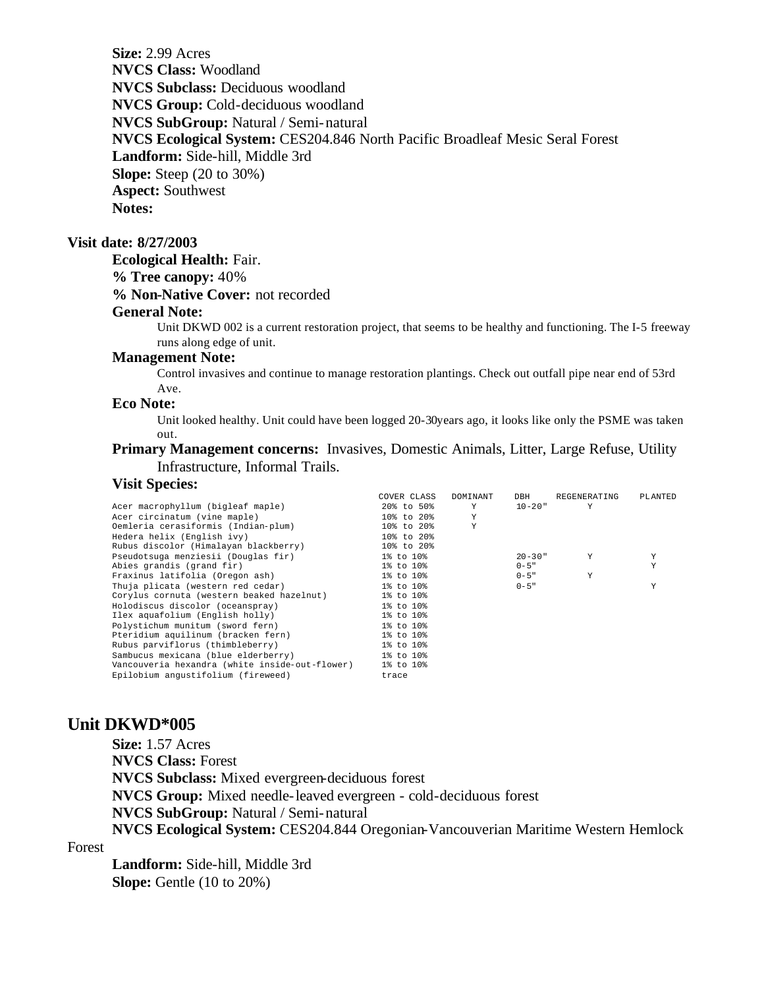**Size:** 2.99 Acres **NVCS Class:** Woodland **NVCS Subclass:** Deciduous woodland **NVCS Group:** Cold-deciduous woodland **NVCS SubGroup:** Natural / Semi-natural **NVCS Ecological System:** CES204.846 North Pacific Broadleaf Mesic Seral Forest **Landform:** Side-hill, Middle 3rd **Slope:** Steep (20 to 30%) **Aspect:** Southwest **Notes:** 

## **Visit date: 8/27/2003**

#### **Ecological Health:** Fair.

#### **% Tree canopy:** 40%

#### **% Non-Native Cover:** not recorded

#### **General Note:**

Unit DKWD 002 is a current restoration project, that seems to be healthy and functioning. The I-5 freeway runs along edge of unit.

## **Management Note:**

Control invasives and continue to manage restoration plantings. Check out outfall pipe near end of 53rd Ave.

#### **Eco Note:**

Unit looked healthy. Unit could have been logged 20-30years ago, it looks like only the PSME was taken out.

# **Primary Management concerns:** Invasives, Domestic Animals, Litter, Large Refuse, Utility Infrastructure, Informal Trails.

# **Visit Species:**

|                                                | COVER CLASS | DOMINANT | DBH         | REGENERATING | PLANTED |
|------------------------------------------------|-------------|----------|-------------|--------------|---------|
| Acer macrophyllum (bigleaf maple)              | 20% to 50%  | Y        | $10 - 20$ " | Y            |         |
| Acer circinatum (vine maple)                   | 10% to 20%  | Y        |             |              |         |
| Oemleria cerasiformis (Indian-plum)            | 10% to 20%  | Y        |             |              |         |
| Hedera helix (English ivv)                     | 10% to 20%  |          |             |              |         |
| Rubus discolor (Himalayan blackberry)          | 10% to 20%  |          |             |              |         |
| Pseudotsuga menziesii (Douglas fir)            | 1% to 10%   |          | $20 - 30$ " | Y            | Υ       |
| Abies grandis (grand fir)                      | 1% to 10%   |          | $0 - 5$ "   |              | Y       |
| Fraxinus latifolia (Oregon ash)                | 1% to 10%   |          | $0 - 5$ "   | Y            |         |
| Thuja plicata (western red cedar)              | 1% to 10%   |          | $0 - 5$ "   |              | Y       |
| Corylus cornuta (western beaked hazelnut)      | 1% to 10%   |          |             |              |         |
| Holodiscus discolor (oceanspray)               | 1% to 10%   |          |             |              |         |
| Ilex aquafolium (English holly)                | 1% to 10%   |          |             |              |         |
| Polystichum munitum (sword fern)               | 1% to 10%   |          |             |              |         |
| Pteridium aquilinum (bracken fern)             | 1% to 10%   |          |             |              |         |
| Rubus parviflorus (thimbleberry)               | 1% to 10%   |          |             |              |         |
| Sambucus mexicana (blue elderberry)            | 1% to 10%   |          |             |              |         |
| Vancouveria hexandra (white inside-out-flower) | 1% to 10%   |          |             |              |         |
| Epilobium angustifolium (fireweed)             | trace       |          |             |              |         |

## **Unit DKWD\*005**

Forest

**Size:** 1.57 Acres **NVCS Class:** Forest **NVCS Subclass:** Mixed evergreen-deciduous forest **NVCS Group:** Mixed needle-leaved evergreen - cold-deciduous forest **NVCS SubGroup:** Natural / Semi-natural **NVCS Ecological System:** CES204.844 Oregonian-Vancouverian Maritime Western Hemlock

**Landform:** Side-hill, Middle 3rd **Slope:** Gentle (10 to 20%)